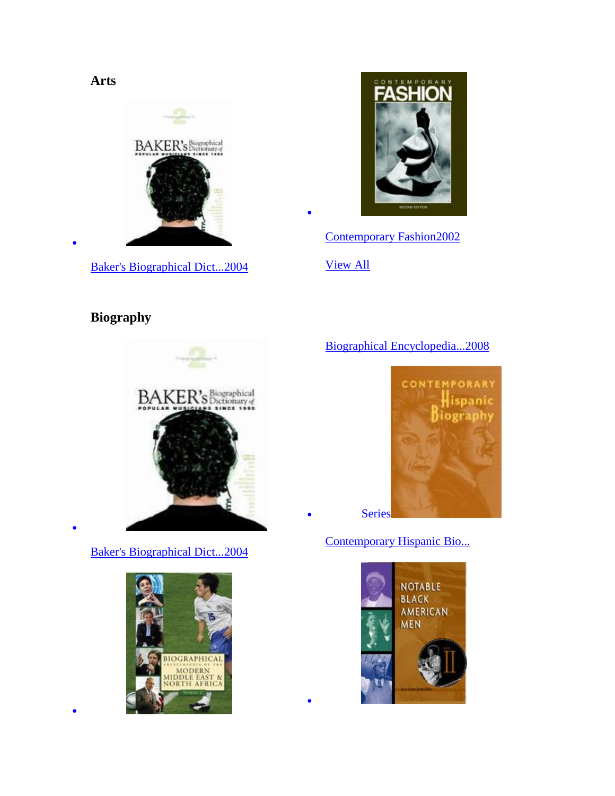**Arts**



[Baker's Biographical Dict...2004](http://go.galegroup.com/ps/eToc.do?userGroupName=lyceumph&prodId=GVRL&inPS=true&action=DO_BROWSE_ETOC&searchType=BasicSearchForm&docId=GALE%7C9780028659855&contentSegment=9780028659855)



[Contemporary Fashion2002](http://go.galegroup.com/ps/eToc.do?userGroupName=lyceumph&prodId=GVRL&inPS=true&action=DO_BROWSE_ETOC&searchType=BasicSearchForm&docId=GALE%7C9781558625303&contentSegment=9781558625303)

[View All](http://go.galegroup.com/ps/displayAllBooksForSubject?subject=Biography&inPS=true&prodId=GVRL&userGroupName=lyceumph)

 $\bullet$ 

 $\bullet$ 

# **Biography**

 $\bullet$ 

 $\bullet$ 

 $\bullet$ 



[Baker's Biographical Dict...2004](http://go.galegroup.com/ps/eToc.do?userGroupName=lyceumph&prodId=GVRL&inPS=true&action=DO_BROWSE_ETOC&searchType=BasicSearchForm&docId=GALE%7C9780028659855&contentSegment=9780028659855)



### [Biographical Encyclopedia...2008](http://go.galegroup.com/ps/eToc.do?userGroupName=lyceumph&prodId=GVRL&inPS=true&action=DO_BROWSE_ETOC&searchType=BasicSearchForm&docId=GALE%7C9781414418889&contentSegment=9781414418889)



[Contemporary Hispanic Bio...](http://go.galegroup.com/ps/aboutSeries.do?inPS=true&prodId=GVRL&userGroupName=lyceumph&seriesId=0LTI)

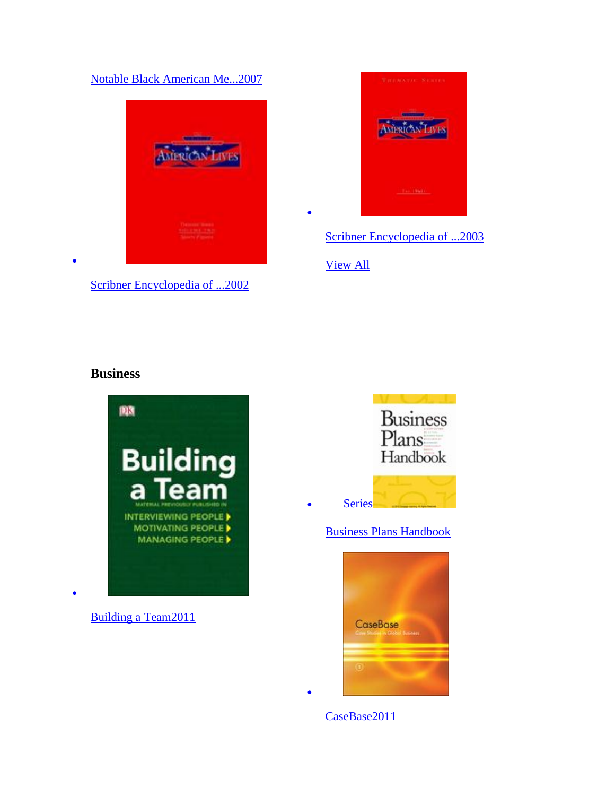#### [Notable Black American Me...2007](http://go.galegroup.com/ps/eToc.do?userGroupName=lyceumph&prodId=GVRL&inPS=true&action=DO_BROWSE_ETOC&searchType=BasicSearchForm&docId=GALE%7C9781414410524&contentSegment=9781414410524)



[Scribner Encyclopedia of ...2002](http://go.galegroup.com/ps/eToc.do?userGroupName=lyceumph&prodId=GVRL&inPS=true&action=DO_BROWSE_ETOC&searchType=BasicSearchForm&docId=GALE%7C9780684314488&contentSegment=9780684314488)



[Scribner Encyclopedia of ...2003](http://go.galegroup.com/ps/eToc.do?userGroupName=lyceumph&prodId=GVRL&inPS=true&action=DO_BROWSE_ETOC&searchType=BasicSearchForm&docId=GALE%7C9780684314495&contentSegment=9780684314495)

[View All](http://go.galegroup.com/ps/displayAllBooksForSubject?subject=Business&inPS=true&prodId=GVRL&userGroupName=lyceumph)

 $\bullet$ 

### **Business**



[Building a Team2011](http://go.galegroup.com/ps/eToc.do?userGroupName=lyceumph&prodId=GVRL&inPS=true&action=DO_BROWSE_ETOC&searchType=BasicSearchForm&docId=GALE%7C9780756685331&contentSegment=9780756685331)

 $\bullet$ 



[Business Plans Handbook](http://go.galegroup.com/ps/aboutSeries.do?inPS=true&prodId=GVRL&userGroupName=lyceumph&seriesId=0PHU)



[CaseBase2011](http://go.galegroup.com/ps/eToc.do?userGroupName=lyceumph&prodId=GVRL&inPS=true&action=DO_BROWSE_ETOC&searchType=BasicSearchForm&docId=GALE%7C9781414486932&contentSegment=9781414486932)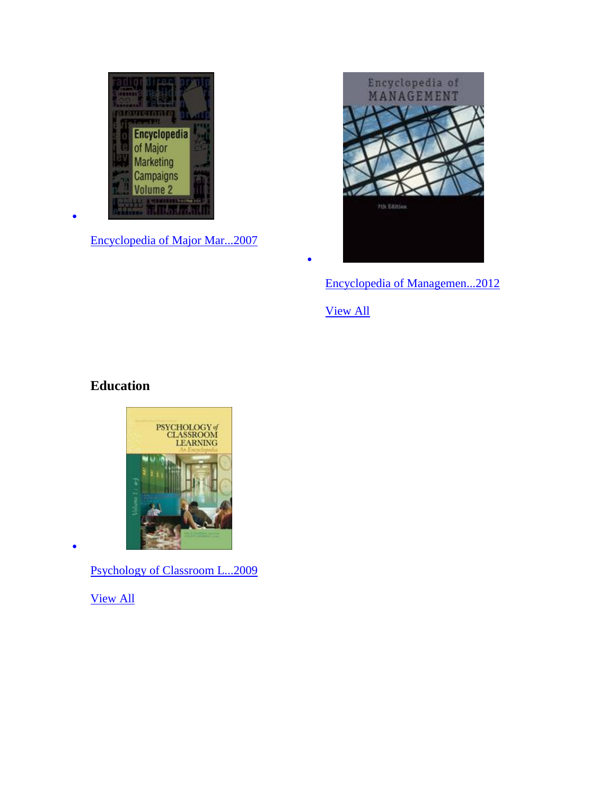

[Encyclopedia of Major Mar...2007](http://go.galegroup.com/ps/eToc.do?userGroupName=lyceumph&prodId=GVRL&inPS=true&action=DO_BROWSE_ETOC&searchType=BasicSearchForm&docId=GALE%7C9781414406077&contentSegment=9781414406077)



[Encyclopedia of Managemen...2012](http://go.galegroup.com/ps/eToc.do?userGroupName=lyceumph&prodId=GVRL&inPS=true&action=DO_BROWSE_ETOC&searchType=BasicSearchForm&docId=GALE%7C9781414464336&contentSegment=9781414464336)

[View All](http://go.galegroup.com/ps/displayAllBooksForSubject?subject=Education&inPS=true&prodId=GVRL&userGroupName=lyceumph)

 $\bullet$ 

# **Education**

 $\bullet$ 



[Psychology of Classroom L...2009](http://go.galegroup.com/ps/eToc.do?userGroupName=lyceumph&prodId=GVRL&inPS=true&action=DO_BROWSE_ETOC&searchType=BasicSearchForm&docId=GALE%7C9780028661704&contentSegment=9780028661704)

[View All](http://go.galegroup.com/ps/displayAllBooksForSubject?subject=General+Reference&inPS=true&prodId=GVRL&userGroupName=lyceumph)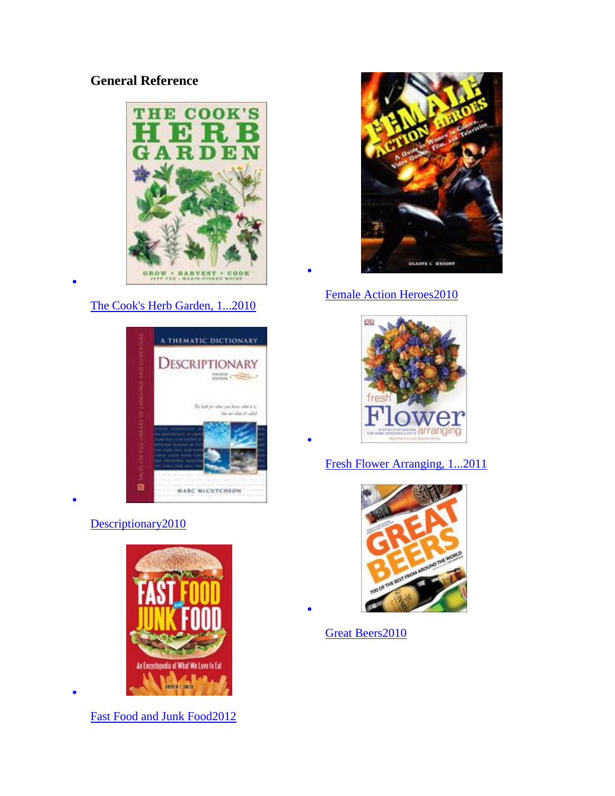# **General Reference**



### [The Cook's Herb Garden, 1...2010](http://go.galegroup.com/ps/eToc.do?userGroupName=lyceumph&prodId=GVRL&inPS=true&action=DO_BROWSE_ETOC&searchType=BasicSearchForm&docId=GALE%7C9780756669942&contentSegment=9780756669942)

 $\bullet$ 

 $\bullet$ 

 $\bullet$ 



### [Descriptionary2010](http://go.galegroup.com/ps/eToc.do?userGroupName=lyceumph&prodId=GVRL&inPS=true&action=DO_BROWSE_ETOC&searchType=BasicSearchForm&docId=GALE%7C9781438129747&contentSegment=9781438129747)



[Fast Food and Junk Food2012](http://go.galegroup.com/ps/eToc.do?userGroupName=lyceumph&prodId=GVRL&inPS=true&action=DO_BROWSE_ETOC&searchType=BasicSearchForm&docId=GALE%7C9780313393945&contentSegment=9780313393945)



### [Female Action Heroes2010](http://go.galegroup.com/ps/eToc.do?userGroupName=lyceumph&prodId=GVRL&inPS=true&action=DO_BROWSE_ETOC&searchType=BasicSearchForm&docId=GALE%7C9780313376139&contentSegment=9780313376139)

 $\bullet$ 

 $\bullet$ 

 $\bullet$ 



### [Fresh Flower Arranging, 1...2011](http://go.galegroup.com/ps/eToc.do?userGroupName=lyceumph&prodId=GVRL&inPS=true&action=DO_BROWSE_ETOC&searchType=BasicSearchForm&docId=GALE%7C9780756673918&contentSegment=9780756673918)



[Great Beers2010](http://go.galegroup.com/ps/eToc.do?userGroupName=lyceumph&prodId=GVRL&inPS=true&action=DO_BROWSE_ETOC&searchType=BasicSearchForm&docId=GALE%7C9780756672584&contentSegment=9780756672584)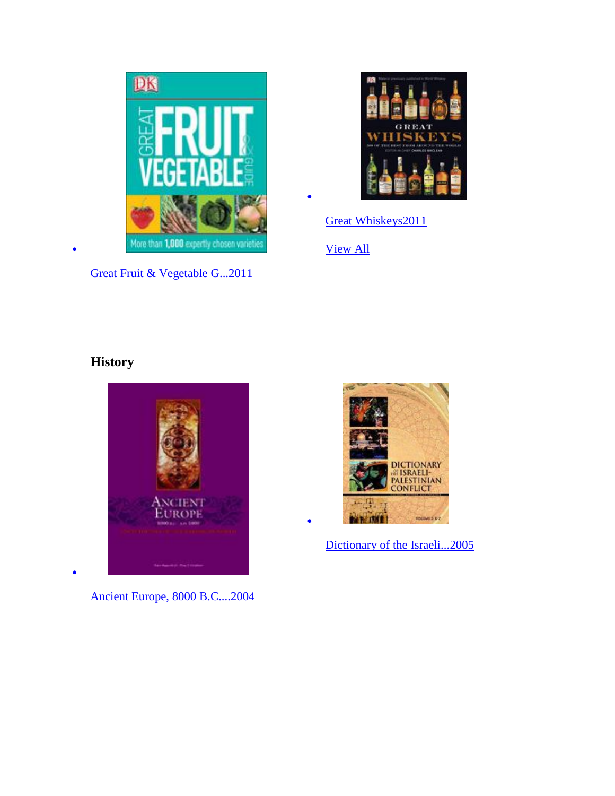

[Great Fruit & Vegetable G...2011](http://go.galegroup.com/ps/eToc.do?userGroupName=lyceumph&prodId=GVRL&inPS=true&action=DO_BROWSE_ETOC&searchType=BasicSearchForm&docId=GALE%7C9780756691639&contentSegment=9780756691639)



[Great Whiskeys2011](http://go.galegroup.com/ps/eToc.do?userGroupName=lyceumph&prodId=GVRL&inPS=true&action=DO_BROWSE_ETOC&searchType=BasicSearchForm&docId=GALE%7C9780756679835&contentSegment=9780756679835)

[View All](http://go.galegroup.com/ps/displayAllBooksForSubject?subject=History&inPS=true&prodId=GVRL&userGroupName=lyceumph)

 $\bullet$ 

 $\bullet$ 

# **History**

 $\bullet$ 

 $\bullet$ 



[Ancient Europe, 8000 B.C....2004](http://go.galegroup.com/ps/eToc.do?userGroupName=lyceumph&prodId=GVRL&inPS=true&action=DO_BROWSE_ETOC&searchType=BasicSearchForm&docId=GALE%7C9780684314211&contentSegment=9780684314211)



[Dictionary of the Israeli...2005](http://go.galegroup.com/ps/eToc.do?userGroupName=lyceumph&prodId=GVRL&inPS=true&action=DO_BROWSE_ETOC&searchType=BasicSearchForm&docId=GALE%7C9780028659961&contentSegment=9780028659961)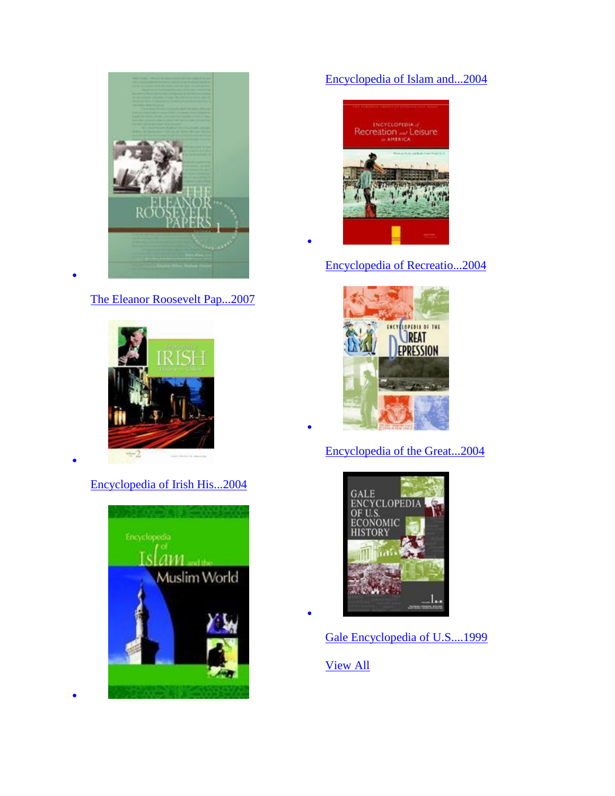

[The Eleanor Roosevelt Pap...2007](http://go.galegroup.com/ps/eToc.do?userGroupName=lyceumph&prodId=GVRL&inPS=true&action=DO_BROWSE_ETOC&searchType=BasicSearchForm&docId=GALE%7C9780684315485&contentSegment=9780684315485)

 $\bullet$ 

 $\bullet$ 

 $\bullet$ 



[Encyclopedia of Irish His...2004](http://go.galegroup.com/ps/eToc.do?userGroupName=lyceumph&prodId=GVRL&inPS=true&action=DO_BROWSE_ETOC&searchType=BasicSearchForm&docId=GALE%7C9780028659893&contentSegment=9780028659893)



### [Encyclopedia of Islam and...2004](http://go.galegroup.com/ps/eToc.do?userGroupName=lyceumph&prodId=GVRL&inPS=true&action=DO_BROWSE_ETOC&searchType=BasicSearchForm&docId=GALE%7C9780028659121&contentSegment=9780028659121)



 $\bullet$ 

 $\bullet$ 

 $\bullet$ 

[Encyclopedia of Recreatio...2004](http://go.galegroup.com/ps/eToc.do?userGroupName=lyceumph&prodId=GVRL&inPS=true&action=DO_BROWSE_ETOC&searchType=BasicSearchForm&docId=GALE%7C9780684314501&contentSegment=9780684314501)



### [Encyclopedia of the Great...2004](http://go.galegroup.com/ps/eToc.do?userGroupName=lyceumph&prodId=GVRL&inPS=true&action=DO_BROWSE_ETOC&searchType=BasicSearchForm&docId=GALE%7C9780028659084&contentSegment=9780028659084)



[Gale Encyclopedia of U.S....1999](http://go.galegroup.com/ps/eToc.do?userGroupName=lyceumph&prodId=GVRL&inPS=true&action=DO_BROWSE_ETOC&searchType=BasicSearchForm&docId=GALE%7C9780787677268&contentSegment=9780787677268)

[View All](http://go.galegroup.com/ps/displayAllBooksForSubject?subject=Law&inPS=true&prodId=GVRL&userGroupName=lyceumph)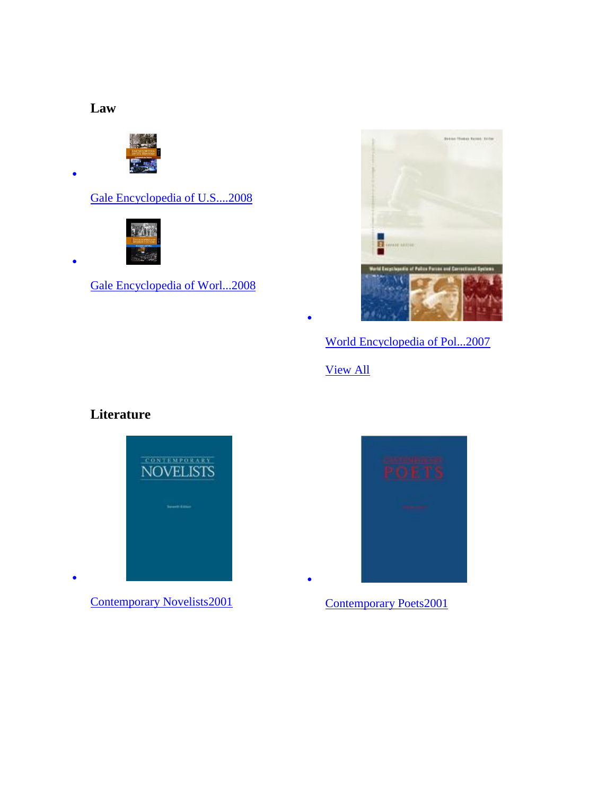# **Law**

 $\bullet$ 

 $\bullet$ 

 $\bullet$ 



[Gale Encyclopedia of U.S....2008](http://go.galegroup.com/ps/eToc.do?userGroupName=lyceumph&prodId=GVRL&inPS=true&action=DO_BROWSE_ETOC&searchType=BasicSearchForm&docId=GALE%7C9781414431215&contentSegment=9781414431215)



[Gale Encyclopedia of Worl...2008](http://go.galegroup.com/ps/eToc.do?userGroupName=lyceumph&prodId=GVRL&inPS=true&action=DO_BROWSE_ETOC&searchType=BasicSearchForm&docId=GALE%7C9781414431550&contentSegment=9781414431550)



[World Encyclopedia of Pol...2007](http://go.galegroup.com/ps/eToc.do?userGroupName=lyceumph&prodId=GVRL&inPS=true&action=DO_BROWSE_ETOC&searchType=BasicSearchForm&docId=GALE%7C9781414405148&contentSegment=9781414405148)

[View All](http://go.galegroup.com/ps/displayAllBooksForSubject?subject=Literature&inPS=true&prodId=GVRL&userGroupName=lyceumph)

 $\bullet$ 

 $\bullet$ 

# **Literature**



[Contemporary Novelists2001](http://go.galegroup.com/ps/eToc.do?userGroupName=lyceumph&prodId=GVRL&inPS=true&action=DO_BROWSE_ETOC&searchType=BasicSearchForm&docId=GALE%7C9781558625358&contentSegment=9781558625358)



[Contemporary Poets2001](http://go.galegroup.com/ps/eToc.do?userGroupName=lyceumph&prodId=GVRL&inPS=true&action=DO_BROWSE_ETOC&searchType=BasicSearchForm&docId=GALE%7C9781558625365&contentSegment=9781558625365)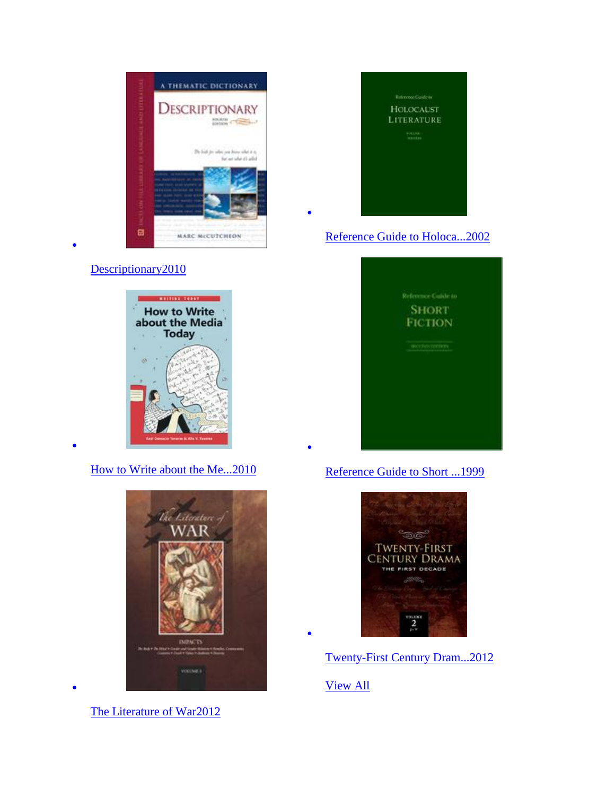

#### [Descriptionary2010](http://go.galegroup.com/ps/eToc.do?userGroupName=lyceumph&prodId=GVRL&inPS=true&action=DO_BROWSE_ETOC&searchType=BasicSearchForm&docId=GALE%7C9781438129747&contentSegment=9781438129747)

 $\bullet$ 

 $\bullet$ 

 $\bullet$ 



[How to Write about the Me...2010](http://go.galegroup.com/ps/eToc.do?userGroupName=lyceumph&prodId=GVRL&inPS=true&action=DO_BROWSE_ETOC&searchType=BasicSearchForm&docId=GALE%7C9780313375200&contentSegment=9780313375200)



[The Literature of War2012](http://go.galegroup.com/ps/eToc.do?userGroupName=lyceumph&prodId=GVRL&inPS=true&action=DO_BROWSE_ETOC&searchType=BasicSearchForm&docId=GALE%7C9781558628458&contentSegment=9781558628458)



 $\bullet$ 

 $\bullet$ 

 $\bullet$ 

[Reference Guide to Holoca...2002](http://go.galegroup.com/ps/eToc.do?userGroupName=lyceumph&prodId=GVRL&inPS=true&action=DO_BROWSE_ETOC&searchType=BasicSearchForm&docId=GALE%7C9781558625310&contentSegment=9781558625310)



#### [Reference Guide to Short ...1999](http://go.galegroup.com/ps/eToc.do?userGroupName=lyceumph&prodId=GVRL&inPS=true&action=DO_BROWSE_ETOC&searchType=BasicSearchForm&docId=GALE%7C9781558625396&contentSegment=9781558625396)



[Twenty-First Century Dram...2012](http://go.galegroup.com/ps/eToc.do?userGroupName=lyceumph&prodId=GVRL&inPS=true&action=DO_BROWSE_ETOC&searchType=BasicSearchForm&docId=GALE%7C9781414490427&contentSegment=9781414490427)

[View All](http://go.galegroup.com/ps/displayAllBooksForSubject?subject=Medicine&inPS=true&prodId=GVRL&userGroupName=lyceumph)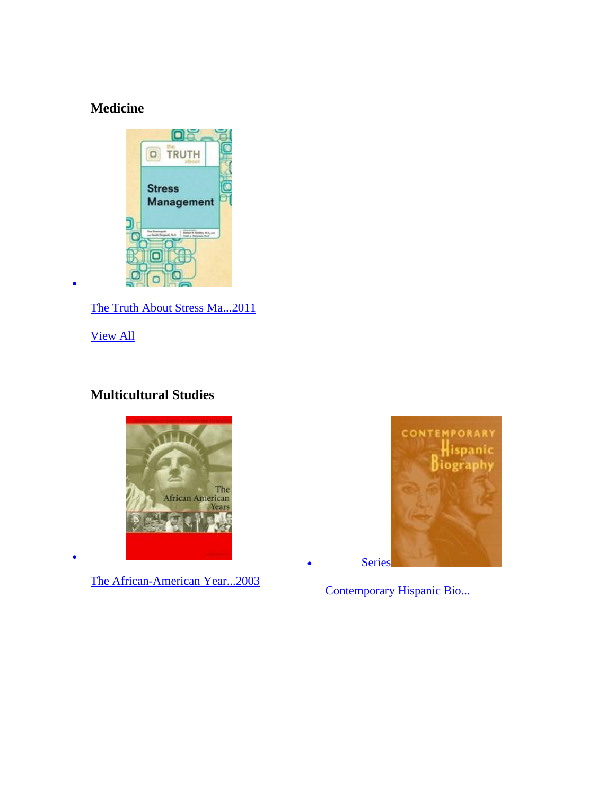# **Medicine**



[The Truth About Stress Ma...2011](http://go.galegroup.com/ps/eToc.do?userGroupName=lyceumph&prodId=GVRL&inPS=true&action=DO_BROWSE_ETOC&searchType=BasicSearchForm&docId=GALE%7C9781438135618&contentSegment=9781438135618)

[View All](http://go.galegroup.com/ps/displayAllBooksForSubject?subject=Multicultural+Studies&inPS=true&prodId=GVRL&userGroupName=lyceumph)

 $\bullet$ 

 $\bullet$ 

### **Multicultural Studies**



[The African-American Year...2003](http://go.galegroup.com/ps/eToc.do?userGroupName=lyceumph&prodId=GVRL&inPS=true&action=DO_BROWSE_ETOC&searchType=BasicSearchForm&docId=GALE%7C9780684314297&contentSegment=9780684314297)



[Contemporary Hispanic Bio...](http://go.galegroup.com/ps/aboutSeries.do?inPS=true&prodId=GVRL&userGroupName=lyceumph&seriesId=0LTI)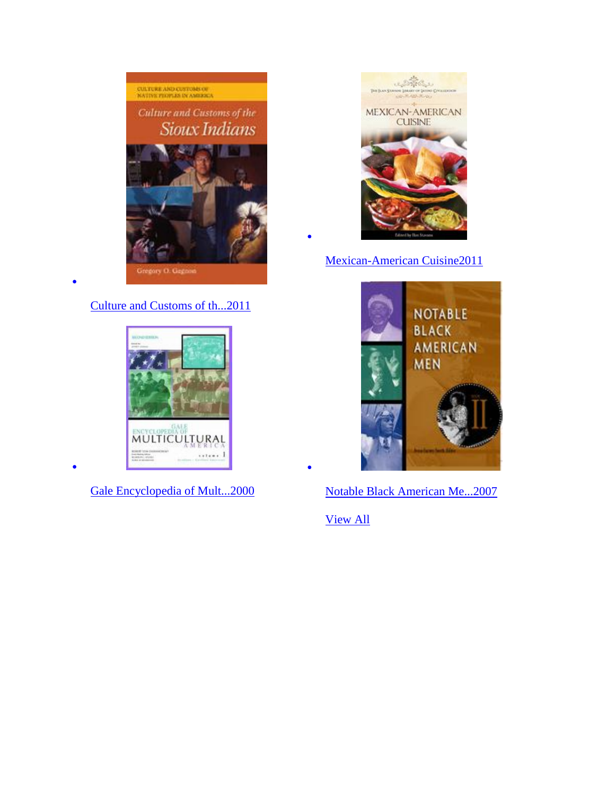

### [Culture and Customs of th...2011](http://go.galegroup.com/ps/eToc.do?userGroupName=lyceumph&prodId=GVRL&inPS=true&action=DO_BROWSE_ETOC&searchType=BasicSearchForm&docId=GALE%7C9780313384554&contentSegment=9780313384554)

 $\bullet$ 

 $\bullet$ 



[Gale Encyclopedia of Mult...2000](http://go.galegroup.com/ps/eToc.do?userGroupName=lyceumph&prodId=GVRL&inPS=true&action=DO_BROWSE_ETOC&searchType=BasicSearchForm&docId=GALE%7C9780787677275&contentSegment=9780787677275)



[Mexican-American Cuisine2011](http://go.galegroup.com/ps/eToc.do?userGroupName=lyceumph&prodId=GVRL&inPS=true&action=DO_BROWSE_ETOC&searchType=BasicSearchForm&docId=GALE%7C9780313358234&contentSegment=9780313358234)



[Notable Black American Me...2007](http://go.galegroup.com/ps/eToc.do?userGroupName=lyceumph&prodId=GVRL&inPS=true&action=DO_BROWSE_ETOC&searchType=BasicSearchForm&docId=GALE%7C9781414410524&contentSegment=9781414410524)

[View](http://go.galegroup.com/ps/displayAllBooksForSubject?subject=Nation+and+World&inPS=true&prodId=GVRL&userGroupName=lyceumph) All

 $\bullet$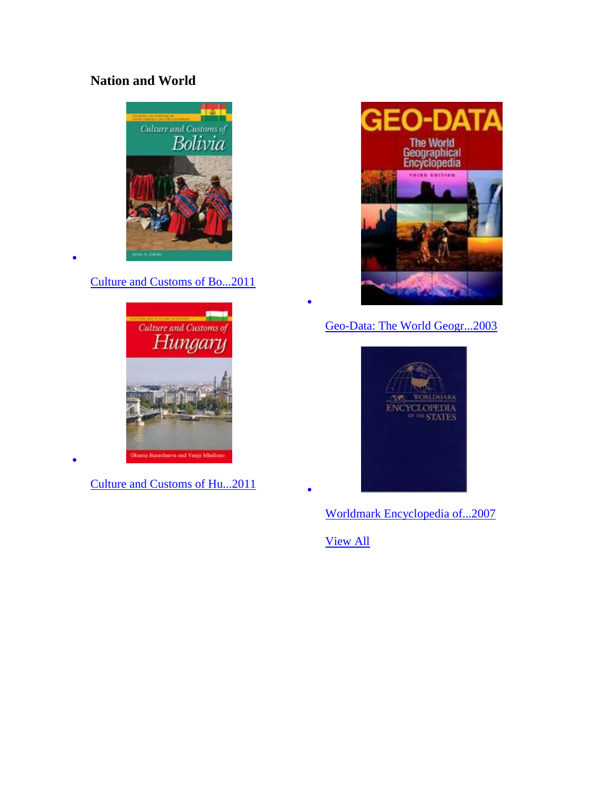# **Nation and World**



[Culture and Customs of Bo...2011](http://go.galegroup.com/ps/eToc.do?userGroupName=lyceumph&prodId=GVRL&inPS=true&action=DO_BROWSE_ETOC&searchType=BasicSearchForm&docId=GALE%7C9780313383649&contentSegment=9780313383649)

 $\bullet$ 

 $\bullet$ 



[Culture and Customs of Hu...2011](http://go.galegroup.com/ps/eToc.do?userGroupName=lyceumph&prodId=GVRL&inPS=true&action=DO_BROWSE_ETOC&searchType=BasicSearchForm&docId=GALE%7C9780313383700&contentSegment=9780313383700)



[Geo-Data: The World Geogr...2003](http://go.galegroup.com/ps/eToc.do?userGroupName=lyceumph&prodId=GVRL&inPS=true&action=DO_BROWSE_ETOC&searchType=BasicSearchForm&docId=GALE%7C9780787677084&contentSegment=9780787677084)



[Worldmark Encyclopedia of...2007](http://go.galegroup.com/ps/eToc.do?userGroupName=lyceumph&prodId=GVRL&inPS=true&action=DO_BROWSE_ETOC&searchType=BasicSearchForm&docId=GALE%7C9781414411149&contentSegment=9781414411149)

[View All](http://go.galegroup.com/ps/displayAllBooksForSubject?subject=Religion&inPS=true&prodId=GVRL&userGroupName=lyceumph)

 $\bullet$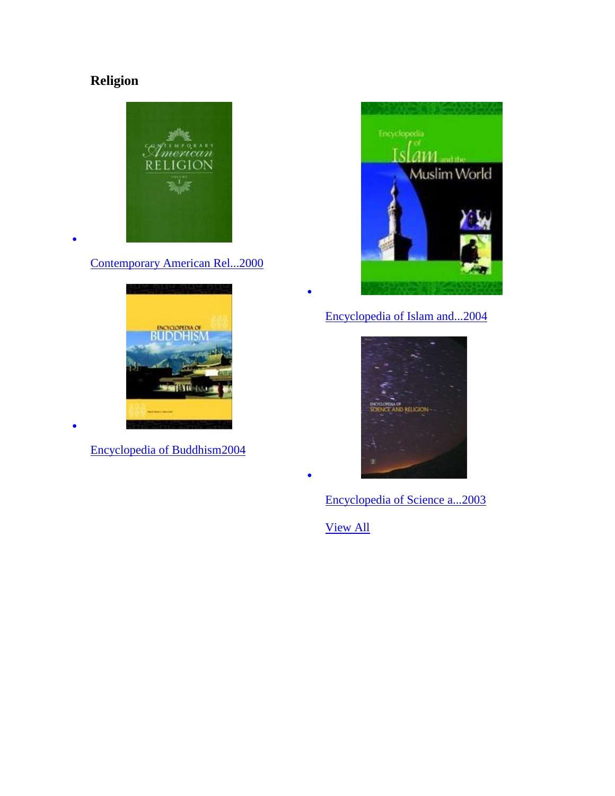# **Religion**

 $\bullet$ 

 $\bullet$ 



[Contemporary American Rel...2000](http://go.galegroup.com/ps/eToc.do?userGroupName=lyceumph&prodId=GVRL&inPS=true&action=DO_BROWSE_ETOC&searchType=BasicSearchForm&docId=GALE%7C9780028658803&contentSegment=9780028658803)



[Encyclopedia of Buddhism2004](http://go.galegroup.com/ps/eToc.do?userGroupName=lyceumph&prodId=GVRL&inPS=true&action=DO_BROWSE_ETOC&searchType=BasicSearchForm&docId=GALE%7C9780028659107&contentSegment=9780028659107)



# [Encyclopedia of Islam and...2004](http://go.galegroup.com/ps/eToc.do?userGroupName=lyceumph&prodId=GVRL&inPS=true&action=DO_BROWSE_ETOC&searchType=BasicSearchForm&docId=GALE%7C9780028659121&contentSegment=9780028659121)



[Encyclopedia of Science a...2003](http://go.galegroup.com/ps/eToc.do?userGroupName=lyceumph&prodId=GVRL&inPS=true&action=DO_BROWSE_ETOC&searchType=BasicSearchForm&docId=GALE%7C9780028659114&contentSegment=9780028659114)

[View All](http://go.galegroup.com/ps/displayAllBooksForSubject?subject=Science&inPS=true&prodId=GVRL&userGroupName=lyceumph)

 $\bullet$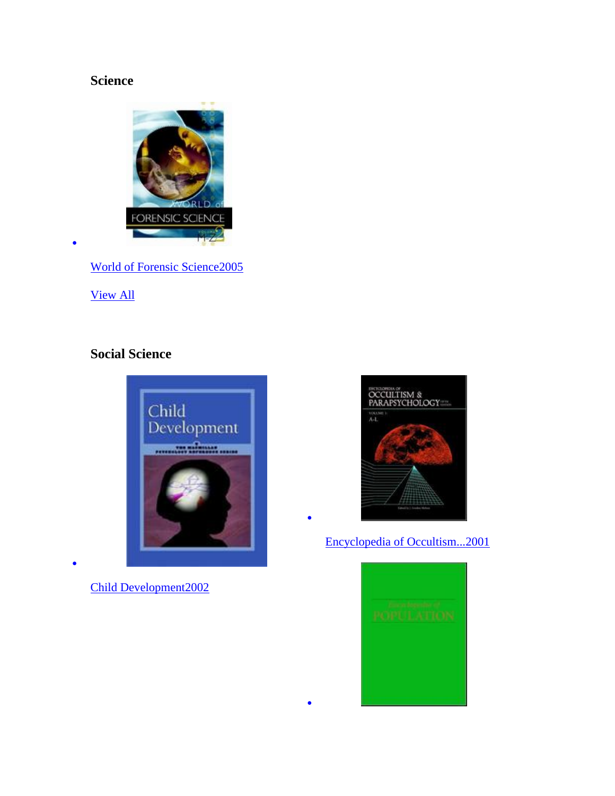# **Science**



[World of Forensic Science2005](http://go.galegroup.com/ps/eToc.do?userGroupName=lyceumph&prodId=GVRL&inPS=true&action=DO_BROWSE_ETOC&searchType=BasicSearchForm&docId=GALE%7C9781414406114&contentSegment=9781414406114)

[View All](http://go.galegroup.com/ps/displayAllBooksForSubject?subject=Social+Science&inPS=true&prodId=GVRL&userGroupName=lyceumph)

 $\bullet$ 

 $\bullet$ 

# **Social Science**



[Child Development2002](http://go.galegroup.com/ps/eToc.do?userGroupName=lyceumph&prodId=GVRL&inPS=true&action=DO_BROWSE_ETOC&searchType=BasicSearchForm&docId=GALE%7C9780028658933&contentSegment=9780028658933)



[Encyclopedia of Occultism...2001](http://go.galegroup.com/ps/eToc.do?userGroupName=lyceumph&prodId=GVRL&inPS=true&action=DO_BROWSE_ETOC&searchType=BasicSearchForm&docId=GALE%7C9780787677787&contentSegment=9780787677787)

 $\bullet$ 

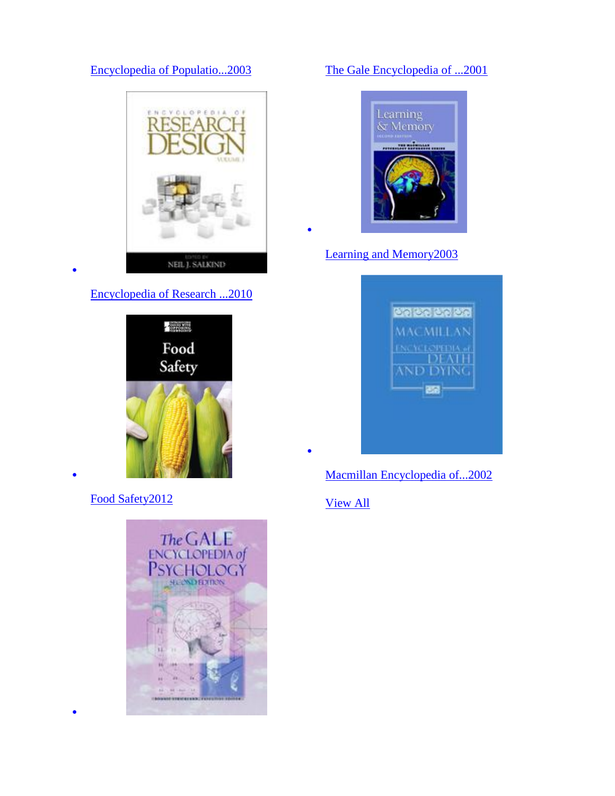### [Encyclopedia of Populatio...2003](http://go.galegroup.com/ps/eToc.do?userGroupName=lyceumph&prodId=GVRL&inPS=true&action=DO_BROWSE_ETOC&searchType=BasicSearchForm&docId=GALE%7C9780028659176&contentSegment=9780028659176)



#### [Encyclopedia of Research ...2010](http://go.galegroup.com/ps/eToc.do?userGroupName=lyceumph&prodId=GVRL&inPS=true&action=DO_BROWSE_ETOC&searchType=BasicSearchForm&docId=GALE%7C9781412961288&contentSegment=9781412961288)

 $\bullet$ 

 $\bullet$ 

 $\bullet$ 



[Food Safety2012](http://go.galegroup.com/ps/eToc.do?userGroupName=lyceumph&prodId=GVRL&inPS=true&action=DO_BROWSE_ETOC&searchType=BasicSearchForm&docId=GALE%7C9780737761207&contentSegment=9780737761207)



### [The Gale Encyclopedia of ...2001](http://go.galegroup.com/ps/eToc.do?userGroupName=lyceumph&prodId=GVRL&inPS=true&action=DO_BROWSE_ETOC&searchType=BasicSearchForm&docId=GALE%7C9780787677459&contentSegment=9780787677459)



[Learning and Memory2003](http://go.galegroup.com/ps/eToc.do?userGroupName=lyceumph&prodId=GVRL&inPS=true&action=DO_BROWSE_ETOC&searchType=BasicSearchForm&docId=GALE%7C9780028659190&contentSegment=9780028659190)

 $\bullet$ 

 $\bullet$ 



[Macmillan Encyclopedia of...2002](http://go.galegroup.com/ps/eToc.do?userGroupName=lyceumph&prodId=GVRL&inPS=true&action=DO_BROWSE_ETOC&searchType=BasicSearchForm&docId=GALE%7C9780028658810&contentSegment=9780028658810)

[View All](http://go.galegroup.com/ps/displayAllBooksForSubject?subject=Technology&inPS=true&prodId=GVRL&userGroupName=lyceumph)